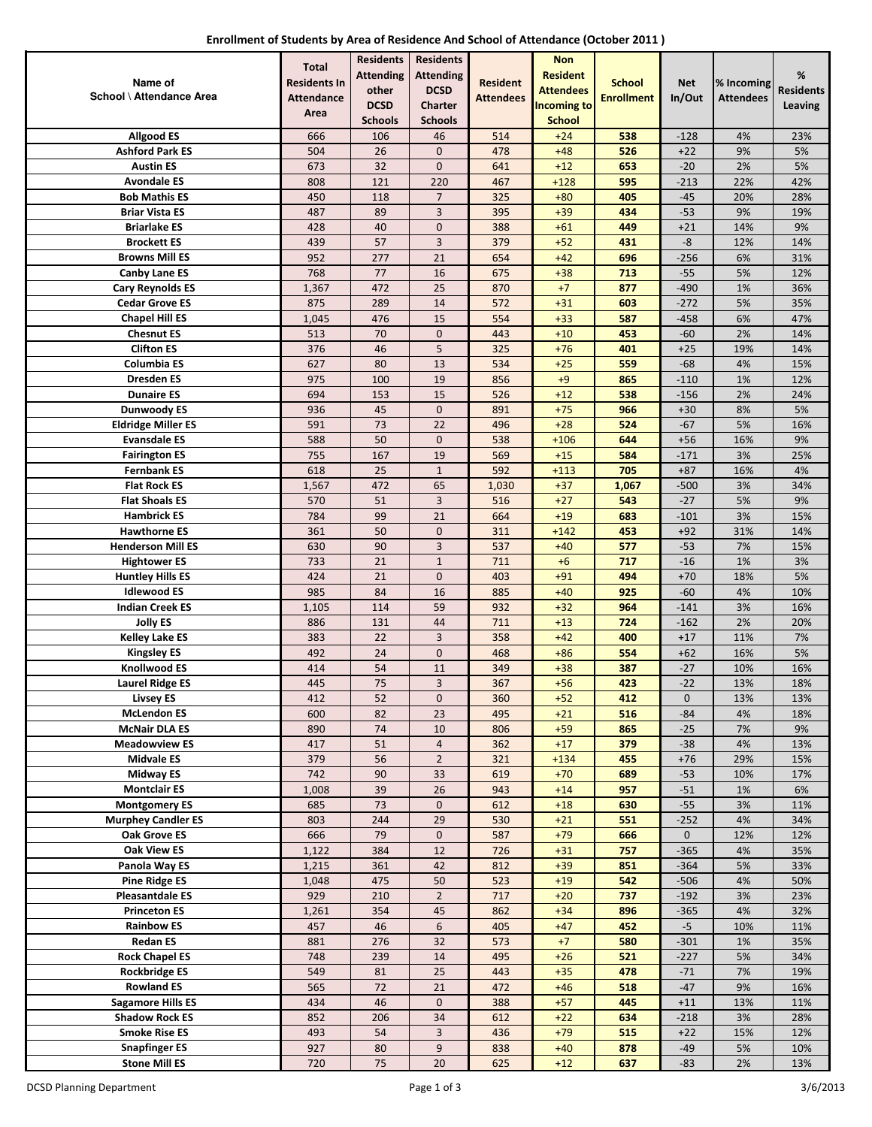| Enrollment of Students by Area of Residence And School of Attendance (October 2011) |  |
|-------------------------------------------------------------------------------------|--|
|-------------------------------------------------------------------------------------|--|

|                                               | <b>Total</b>        | <b>Residents</b> | <b>Residents</b>     |                  | <b>Non</b>         |                   |                 |                  |                  |
|-----------------------------------------------|---------------------|------------------|----------------------|------------------|--------------------|-------------------|-----------------|------------------|------------------|
| Name of                                       | <b>Residents In</b> | <b>Attending</b> | <b>Attending</b>     | <b>Resident</b>  | <b>Resident</b>    | <b>School</b>     | <b>Net</b>      | % Incoming       | %                |
| School \ Attendance Area                      | <b>Attendance</b>   | other            | <b>DCSD</b>          | <b>Attendees</b> | <b>Attendees</b>   | <b>Enrollment</b> | In/Out          | <b>Attendees</b> | <b>Residents</b> |
|                                               | Area                | <b>DCSD</b>      | Charter              |                  | <b>Incoming to</b> |                   |                 |                  | <b>Leaving</b>   |
|                                               |                     | <b>Schools</b>   | <b>Schools</b>       |                  | <b>School</b>      |                   |                 |                  |                  |
| <b>Allgood ES</b>                             | 666                 | 106              | 46                   | 514              | $+24$              | 538               | $-128$          | 4%               | 23%              |
| <b>Ashford Park ES</b>                        | 504                 | 26               | $\mathbf 0$          | 478              | $+48$              | 526               | $+22$           | 9%               | 5%               |
| <b>Austin ES</b>                              | 673                 | 32               | $\mathbf 0$          | 641              | $+12$              | 653               | $-20$           | 2%               | 5%               |
| <b>Avondale ES</b>                            | 808                 | 121              | 220                  | 467              | $+128$             | 595               | $-213$          | 22%              | 42%              |
| <b>Bob Mathis ES</b><br><b>Briar Vista ES</b> | 450<br>487          | 118<br>89        | $\overline{7}$<br>3  | 325<br>395       | $+80$<br>$+39$     | 405<br>434        | $-45$<br>$-53$  | 20%<br>9%        | 28%<br>19%       |
| <b>Briarlake ES</b>                           | 428                 | 40               | $\pmb{0}$            | 388              | $+61$              | 449               | $+21$           | 14%              | 9%               |
| <b>Brockett ES</b>                            | 439                 | 57               | 3                    | 379              | $+52$              | 431               | $\text{-}8$     | 12%              | 14%              |
| <b>Browns Mill ES</b>                         | 952                 | 277              | 21                   | 654              | $+42$              | 696               | $-256$          | 6%               | 31%              |
| <b>Canby Lane ES</b>                          | 768                 | 77               | 16                   | 675              | $+38$              | 713               | $-55$           | 5%               | 12%              |
| <b>Cary Reynolds ES</b>                       | 1,367               | 472              | 25                   | 870              | $+7$               | 877               | $-490$          | 1%               | 36%              |
| <b>Cedar Grove ES</b>                         | 875                 | 289              | 14                   | 572              | $+31$              | 603               | $-272$          | 5%               | 35%              |
| <b>Chapel Hill ES</b>                         | 1,045               | 476              | 15                   | 554              | $+33$              | 587               | $-458$          | 6%               | 47%              |
| <b>Chesnut ES</b>                             | 513                 | 70               | $\pmb{0}$            | 443              | $+10$              | 453               | $-60$           | 2%               | 14%              |
| <b>Clifton ES</b>                             | 376                 | 46               | 5                    | 325              | $+76$              | 401               | $+25$           | 19%              | 14%              |
| <b>Columbia ES</b>                            | 627                 | 80               | 13                   | 534              | $+25$              | 559               | $-68$           | 4%               | 15%              |
| <b>Dresden ES</b>                             | 975                 | 100              | 19                   | 856              | $+9$               | 865               | $-110$          | 1%               | 12%              |
| <b>Dunaire ES</b>                             | 694                 | 153              | 15                   | 526              | $+12$              | 538               | $-156$          | 2%               | 24%              |
| <b>Dunwoody ES</b>                            | 936                 | 45               | $\mathbf 0$          | 891              | $+75$              | 966               | $+30$           | 8%               | 5%               |
| <b>Eldridge Miller ES</b>                     | 591                 | 73               | 22                   | 496              | $+28$              | 524               | $-67$           | 5%               | 16%              |
| <b>Evansdale ES</b>                           | 588                 | 50               | $\mathbf 0$          | 538              | $+106$             | 644               | $+56$           | 16%              | 9%               |
| <b>Fairington ES</b>                          | 755                 | 167              | 19                   | 569              | $+15$              | 584               | $-171$          | 3%               | 25%              |
| <b>Fernbank ES</b>                            | 618                 | 25               | $\mathbf{1}$         | 592              | $+113$             | 705               | $+87$           | 16%              | 4%               |
| <b>Flat Rock ES</b>                           | 1,567               | 472              | 65                   | 1,030            | $+37$              | 1,067             | $-500$          | 3%               | 34%              |
| <b>Flat Shoals ES</b><br><b>Hambrick ES</b>   | 570<br>784          | 51<br>99         | 3<br>21              | 516<br>664       | $+27$<br>$+19$     | 543<br>683        | $-27$<br>$-101$ | 5%<br>3%         | 9%<br>15%        |
| <b>Hawthorne ES</b>                           | 361                 | 50               | $\mathbf 0$          | 311              | $+142$             | 453               | $+92$           | 31%              | 14%              |
| <b>Henderson Mill ES</b>                      | 630                 | 90               | 3                    | 537              | $+40$              | 577               | $-53$           | 7%               | 15%              |
| <b>Hightower ES</b>                           | 733                 | 21               | $\mathbf{1}$         | 711              | $+6$               | 717               | $-16$           | 1%               | 3%               |
| <b>Huntley Hills ES</b>                       | 424                 | 21               | $\pmb{0}$            | 403              | $+91$              | 494               | $+70$           | 18%              | 5%               |
| <b>Idlewood ES</b>                            | 985                 | 84               | 16                   | 885              | $+40$              | 925               | $-60$           | 4%               | 10%              |
| <b>Indian Creek ES</b>                        | 1,105               | 114              | 59                   | 932              | $+32$              | 964               | $-141$          | 3%               | 16%              |
| <b>Jolly ES</b>                               | 886                 | 131              | 44                   | 711              | $+13$              | 724               | $-162$          | 2%               | 20%              |
| <b>Kelley Lake ES</b>                         | 383                 | 22               | 3                    | 358              | $+42$              | 400               | $+17$           | 11%              | 7%               |
| <b>Kingsley ES</b>                            | 492                 | 24               | $\mathbf 0$          | 468              | $+86$              | 554               | $+62$           | 16%              | 5%               |
| <b>Knollwood ES</b>                           | 414                 | 54               | 11                   | 349              | $+38$              | 387               | $-27$           | 10%              | 16%              |
| <b>Laurel Ridge ES</b>                        | 445                 | 75               | 3                    | 367              | $+56$              | 423               | $-22$           | 13%              | 18%              |
| <b>Livsey ES</b>                              | 412                 | 52               | $\mathbf 0$          | 360              | $+52$              | 412               | $\mathbf 0$     | 13%              | 13%              |
| <b>McLendon ES</b>                            | 600                 | 82               | 23                   | 495              | $+21$              | 516               | $-84$           | 4%               | 18%              |
| <b>McNair DLA ES</b><br><b>Meadowview ES</b>  | 890<br>417          | 74<br>51         | 10<br>$\overline{4}$ | 806<br>362       | $+59$<br>$+17$     | 865<br>379        | $-25$<br>$-38$  | 7%<br>4%         | 9%<br>13%        |
| <b>Midvale ES</b>                             | 379                 | 56               | $\overline{2}$       | 321              | $+134$             | 455               | $+76$           | 29%              | 15%              |
| <b>Midway ES</b>                              | 742                 | 90               | 33                   | 619              | $+70$              | 689               | $-53$           | 10%              | 17%              |
| <b>Montclair ES</b>                           | 1,008               | 39               | 26                   | 943              | $+14$              | 957               | $-51$           | 1%               | 6%               |
| <b>Montgomery ES</b>                          | 685                 | 73               | $\mathbf 0$          | 612              | $+18$              | 630               | $-55$           | 3%               | 11%              |
| <b>Murphey Candler ES</b>                     | 803                 | 244              | 29                   | 530              | $+21$              | 551               | $-252$          | 4%               | 34%              |
| Oak Grove ES                                  | 666                 | 79               | $\mathbf 0$          | 587              | $+79$              | 666               | $\mathbf 0$     | 12%              | 12%              |
| <b>Oak View ES</b>                            | 1,122               | 384              | 12                   | 726              | $+31$              | 757               | $-365$          | 4%               | 35%              |
| Panola Way ES                                 | 1,215               | 361              | 42                   | 812              | $+39$              | 851               | $-364$          | 5%               | 33%              |
| <b>Pine Ridge ES</b>                          | 1,048               | 475              | 50                   | 523              | $+19$              | 542               | $-506$          | 4%               | 50%              |
| <b>Pleasantdale ES</b>                        | 929                 | 210              | $\overline{2}$       | 717              | $+20$              | 737               | $-192$          | 3%               | 23%              |
| <b>Princeton ES</b>                           | 1,261               | 354              | 45                   | 862              | $+34$              | 896               | $-365$          | 4%               | 32%              |
| <b>Rainbow ES</b>                             | 457                 | 46               | 6                    | 405              | $+47$              | 452               | $-5$            | 10%              | 11%              |
| <b>Redan ES</b>                               | 881<br>748          | 276<br>239       | 32<br>14             | 573<br>495       | $+7$               | 580               | $-301$          | 1%<br>5%         | 35%<br>34%       |
| <b>Rock Chapel ES</b><br><b>Rockbridge ES</b> | 549                 | 81               | 25                   |                  | $+26$<br>$+35$     | 521<br>478        | $-227$<br>$-71$ | 7%               | 19%              |
| <b>Rowland ES</b>                             | 565                 | $72\,$           | 21                   | 443<br>472       | $+46$              | 518               | $-47$           | 9%               | 16%              |
| <b>Sagamore Hills ES</b>                      | 434                 | 46               | $\mathbf 0$          | 388              | $+57$              | 445               | $+11$           | 13%              | 11%              |
| <b>Shadow Rock ES</b>                         | 852                 | 206              | 34                   | 612              | $+22$              | 634               | $-218$          | 3%               | 28%              |
| <b>Smoke Rise ES</b>                          | 493                 | 54               | 3                    | 436              | $+79$              | 515               | $+22$           | 15%              | 12%              |
| <b>Snapfinger ES</b>                          | 927                 | 80               | $\boldsymbol{9}$     | 838              | $+40$              | 878               | $-49$           | 5%               | 10%              |
| <b>Stone Mill ES</b>                          | 720                 | 75               | 20                   | 625              | $+12$              | 637               | $-83$           | 2%               | 13%              |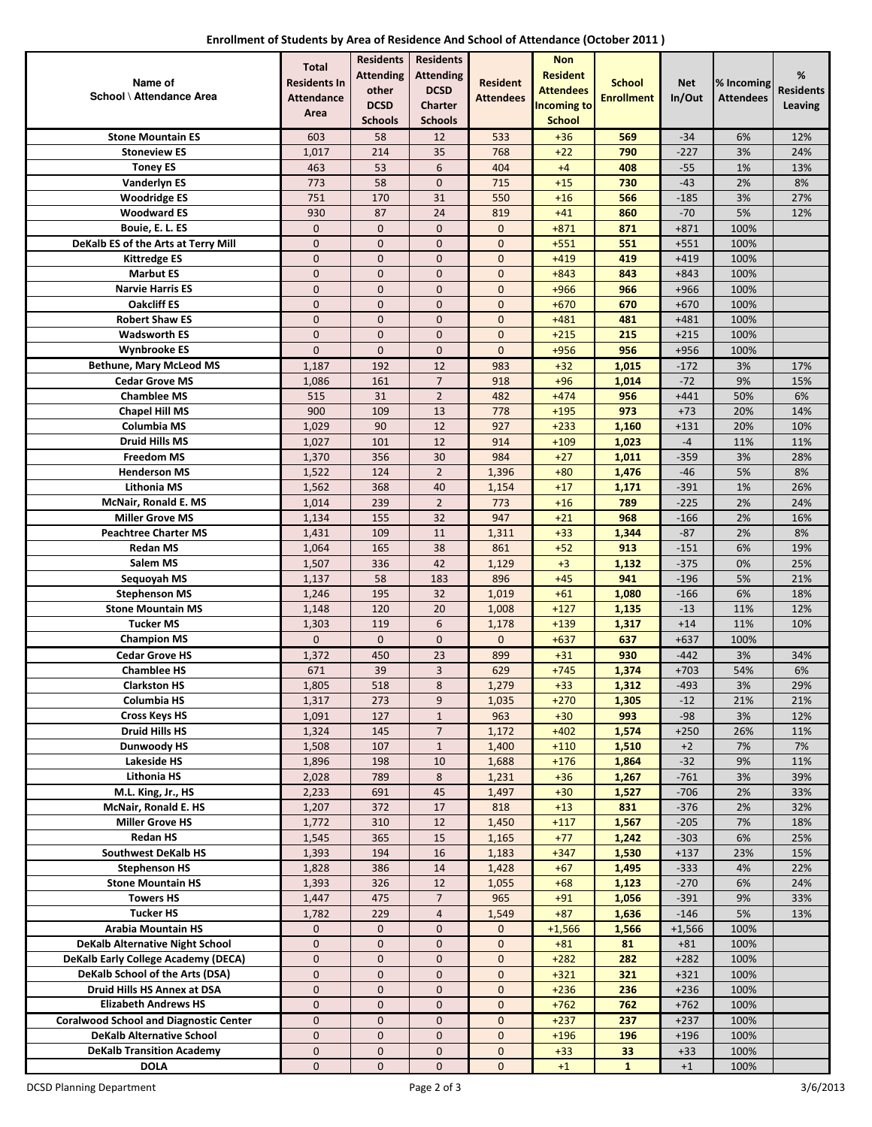| Enrollment of Students by Area of Residence And School of Attendance (October 2011) |  |
|-------------------------------------------------------------------------------------|--|
|-------------------------------------------------------------------------------------|--|

|                                               | <b>Total</b>        | <b>Residents</b> | <b>Residents</b>     |                  | <b>Non</b>         |                   |                  |                  |                  |
|-----------------------------------------------|---------------------|------------------|----------------------|------------------|--------------------|-------------------|------------------|------------------|------------------|
| Name of                                       | <b>Residents In</b> | <b>Attending</b> | <b>Attending</b>     | <b>Resident</b>  | <b>Resident</b>    | <b>School</b>     | <b>Net</b>       | % Incoming       | %                |
| School \ Attendance Area                      | <b>Attendance</b>   | other            | <b>DCSD</b>          | <b>Attendees</b> | <b>Attendees</b>   | <b>Enrollment</b> | In/Out           | <b>Attendees</b> | <b>Residents</b> |
|                                               | Area                | <b>DCSD</b>      | <b>Charter</b>       |                  | <b>Incoming to</b> |                   |                  |                  | Leaving          |
|                                               |                     | <b>Schools</b>   | <b>Schools</b>       |                  | <b>School</b>      |                   |                  |                  |                  |
| <b>Stone Mountain ES</b>                      | 603                 | 58               | 12                   | 533              | $+36$              | 569               | $-34$            | 6%               | 12%              |
| <b>Stoneview ES</b>                           | 1,017               | 214              | 35                   | 768              | $+22$              | 790               | $-227$           | 3%               | 24%              |
| <b>Toney ES</b>                               | 463                 | 53               | 6                    | 404              | $+4$               | 408               | $-55$            | 1%               | 13%              |
| <b>Vanderlyn ES</b>                           | 773                 | 58               | $\mathbf 0$          | 715              | $+15$              | 730               | $-43$            | 2%               | 8%               |
| <b>Woodridge ES</b>                           | 751                 | 170              | 31                   | 550              | $+16$              | 566               | $-185$           | 3%               | 27%              |
| <b>Woodward ES</b>                            | 930                 | 87               | 24                   | 819              | $+41$              | 860               | $-70$            | 5%               | 12%              |
| Bouie, E. L. ES                               | 0                   | 0                | $\mathbf 0$          | $\mathbf 0$      | $+871$             | 871               | $+871$           | 100%             |                  |
| DeKalb ES of the Arts at Terry Mill           | 0                   | 0                | $\mathbf 0$          | 0                | $+551$             | 551               | $+551$           | 100%             |                  |
| <b>Kittredge ES</b>                           | $\overline{0}$      | $\overline{0}$   | $\mathbf 0$          | $\mathbf 0$      | $+419$             | 419               | $+419$           | 100%             |                  |
| <b>Marbut ES</b>                              | $\overline{0}$      | 0                | $\mathbf{0}$         | $\mathbf 0$      | $+843$             | 843               | $+843$           | 100%             |                  |
| <b>Narvie Harris ES</b>                       | 0                   | 0                | $\mathbf 0$          | $\mathbf 0$      | $+966$             | 966               | +966             | 100%             |                  |
| <b>Oakcliff ES</b>                            | $\overline{0}$      | 0                | $\mathbf 0$          | 0                | $+670$             | 670               | $+670$           | 100%             |                  |
| <b>Robert Shaw ES</b>                         | $\mathbf 0$         | 0                | $\mathbf 0$          | $\mathbf 0$      | $+481$             | 481               | $+481$           | 100%             |                  |
| <b>Wadsworth ES</b>                           | 0                   | 0                | $\pmb{0}$            | $\pmb{0}$        | $+215$             | 215               | $+215$           | 100%             |                  |
| <b>Wynbrooke ES</b>                           | $\overline{0}$      | 0                | $\mathbf{0}$         | $\mathbf{0}$     | $+956$             | 956               | $+956$           | 100%             |                  |
| <b>Bethune, Mary McLeod MS</b>                | 1,187               | 192              | 12                   | 983              | $+32$              | 1,015             | $-172$           | 3%               | 17%              |
| <b>Cedar Grove MS</b>                         | 1,086               | 161              | $\overline{7}$       | 918              | $+96$              | 1,014             | $-72$            | 9%               | 15%              |
| <b>Chamblee MS</b>                            | 515                 | 31               | $\overline{2}$       | 482              | $+474$             | 956               | $+441$           | 50%              | 6%               |
| <b>Chapel Hill MS</b>                         | 900                 | 109              | 13                   | 778              | $+195$             | 973               | $+73$            | 20%              | 14%              |
| Columbia MS                                   | 1,029               | 90               | 12<br>12             | 927              | $+233$             | 1,160             | $+131$<br>$-4$   | 20%              | 10%              |
| Druid Hills MS                                | 1,027               | 101              |                      | 914              | $+109$             | 1,023             |                  | 11%              | 11%              |
| <b>Freedom MS</b>                             | 1,370               | 356              | 30<br>$\overline{2}$ | 984              | $+27$              | 1,011             | $-359$<br>$-46$  | 3%               | 28%<br>8%        |
| <b>Henderson MS</b><br><b>Lithonia MS</b>     | 1,522               | 124              |                      | 1,396            | $+80$              | 1,476             |                  | 5%<br>1%         | 26%              |
| McNair, Ronald E. MS                          | 1,562<br>1,014      | 368<br>239       | 40<br>$\overline{2}$ | 1,154<br>773     | $+17$<br>$+16$     | 1,171<br>789      | $-391$<br>$-225$ | 2%               | 24%              |
| <b>Miller Grove MS</b>                        | 1,134               | 155              | 32                   | 947              | $+21$              | 968               | $-166$           | 2%               | 16%              |
| <b>Peachtree Charter MS</b>                   | 1,431               | 109              | 11                   | 1,311            | $+33$              | 1,344             | $-87$            | 2%               | 8%               |
| <b>Redan MS</b>                               | 1,064               | 165              | 38                   | 861              | $+52$              | 913               | $-151$           | 6%               | 19%              |
| Salem MS                                      | 1,507               | 336              | 42                   | 1,129            | $+3$               | 1,132             | $-375$           | 0%               | 25%              |
| Sequoyah MS                                   | 1,137               | 58               | 183                  | 896              | $+45$              | 941               | $-196$           | 5%               | 21%              |
| <b>Stephenson MS</b>                          | 1,246               | 195              | 32                   | 1,019            | $+61$              | 1,080             | $-166$           | 6%               | 18%              |
| <b>Stone Mountain MS</b>                      | 1,148               | 120              | 20                   | 1,008            | $+127$             | 1,135             | $-13$            | 11%              | 12%              |
| <b>Tucker MS</b>                              | 1,303               | 119              | 6                    | 1,178            | $+139$             | 1,317             | $+14$            | 11%              | 10%              |
| <b>Champion MS</b>                            | $\overline{0}$      | 0                | $\mathbf{0}$         | $\mathbf{0}$     | $+637$             | 637               | $+637$           | 100%             |                  |
| <b>Cedar Grove HS</b>                         | 1,372               | 450              | 23                   | 899              | $+31$              | 930               | $-442$           | 3%               | 34%              |
| <b>Chamblee HS</b>                            | 671                 | 39               | 3                    | 629              | $+745$             | 1,374             | $+703$           | 54%              | 6%               |
| <b>Clarkston HS</b>                           | 1,805               | 518              | 8                    | 1,279            | $+33$              | 1,312             | $-493$           | 3%               | 29%              |
| Columbia HS                                   | 1,317               | 273              | 9                    | 1,035            | $+270$             | 1,305             | $-12$            | 21%              | 21%              |
| <b>Cross Keys HS</b>                          | 1,091               | 127              | $\mathbf{1}$         | 963              | $+30$              | 993               | $-98$            | 3%               | 12%              |
| <b>Druid Hills HS</b>                         | 1,324               | 145              | $\overline{7}$       | 1,172            | $+402$             | 1,574             | $+250$           | 26%              | 11%              |
| Dunwoody HS                                   | 1,508               | 107              | $\mathbf{1}$         | 1,400            | $+110$             | 1,510             | $+2$             | 7%               | 7%               |
| Lakeside HS                                   | 1,896               | 198              | 10                   | 1,688            | $+176$             | 1,864             | $-32$            | 9%               | 11%              |
| Lithonia HS                                   | 2,028               | 789              | 8                    | 1,231            | $+36$              | 1,267             | $-761$           | 3%               | 39%              |
| M.L. King, Jr., HS                            | 2,233               | 691              | 45                   | 1,497            | $+30$              | 1,527             | $-706$           | 2%               | 33%              |
| McNair, Ronald E. HS                          | 1,207               | 372              | 17                   | 818              | $+13$              | 831               | $-376$           | 2%               | 32%              |
| <b>Miller Grove HS</b>                        | 1,772               | 310              | 12                   | 1,450            | $+117$             | 1,567             | $-205$           | 7%               | 18%              |
| <b>Redan HS</b>                               | 1,545               | 365              | 15                   | 1,165            | $+77$              | 1,242             | $-303$           | 6%               | 25%              |
| <b>Southwest DeKalb HS</b>                    | 1,393               | 194              | 16                   | 1,183            | $+347$             | 1,530             | $+137$           | 23%              | 15%              |
| <b>Stephenson HS</b>                          | 1,828               | 386              | 14                   | 1,428            | $+67$              | 1,495             | $-333$           | 4%               | 22%              |
| <b>Stone Mountain HS</b>                      | 1,393               | 326              | 12                   | 1,055            | $+68$              | 1,123             | $-270$           | 6%               | 24%              |
| <b>Towers HS</b>                              | 1,447               | 475              | $\overline{7}$       | 965              | $+91$              | 1,056             | $-391$           | 9%               | 33%              |
| <b>Tucker HS</b>                              | 1,782               | 229              | $\overline{4}$       | 1,549            | $+87$              | 1,636             | $-146$           | 5%               | 13%              |
| <b>Arabia Mountain HS</b>                     | 0                   | 0                | $\mathbf 0$          | $\mathbf 0$      | $+1,566$           | 1,566             | $+1,566$         | 100%             |                  |
| <b>DeKalb Alternative Night School</b>        | $\overline{0}$      | 0                | $\mathbf 0$          | 0                | $+81$              | 81                | $+81$            | 100%             |                  |
| DeKalb Early College Academy (DECA)           | 0                   | 0                | $\mathbf 0$          | 0                | $+282$             | 282               | $+282$           | 100%             |                  |
| DeKalb School of the Arts (DSA)               | 0                   | $\mathbf 0$      | $\mathbf 0$          | $\mathbf 0$      | $+321$             | 321               | $+321$           | 100%             |                  |
| Druid Hills HS Annex at DSA                   | 0                   | 0                | $\mathbf 0$          | $\mathbf 0$      | $+236$             | 236               | $+236$           | 100%             |                  |
| <b>Elizabeth Andrews HS</b>                   | 0                   | 0                | $\mathbf 0$          | $\mathbf 0$      | $+762$             | 762               | $+762$           | 100%             |                  |
| <b>Coralwood School and Diagnostic Center</b> | $\overline{0}$      | 0                | $\mathbf 0$          | 0                | $+237$             | 237               | $+237$           | 100%             |                  |
| <b>DeKalb Alternative School</b>              | 0                   | 0                | $\mathbf 0$          | 0                | $+196$             | 196               | $+196$           | 100%             |                  |
| <b>DeKalb Transition Academy</b>              | 0                   | $\mathbf 0$      | $\mathbf 0$          | 0                | $+33$              | 33                | $+33$            | 100%             |                  |
| <b>DOLA</b>                                   | 0                   | 0                | $\mathbf 0$          | $\mathbf 0$      | $+1$               | $\mathbf{1}$      | $+1$             | 100%             |                  |